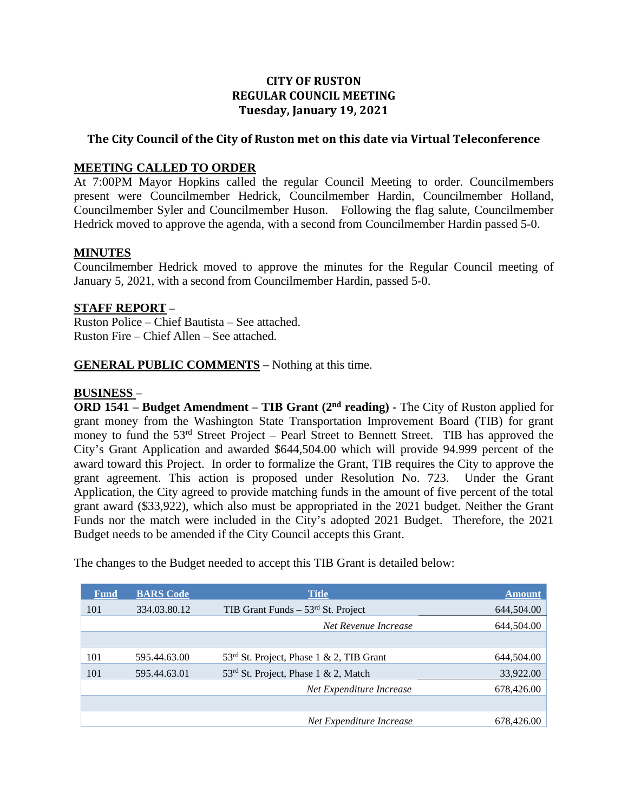# **CITY OF RUSTON REGULAR COUNCIL MEETING Tuesday, January 19, 2021**

# **The City Council of the City of Ruston met on this date via Virtual Teleconference**

## **MEETING CALLED TO ORDER**

At 7:00PM Mayor Hopkins called the regular Council Meeting to order. Councilmembers present were Councilmember Hedrick, Councilmember Hardin, Councilmember Holland, Councilmember Syler and Councilmember Huson. Following the flag salute, Councilmember Hedrick moved to approve the agenda, with a second from Councilmember Hardin passed 5-0.

## **MINUTES**

Councilmember Hedrick moved to approve the minutes for the Regular Council meeting of January 5, 2021, with a second from Councilmember Hardin, passed 5-0.

#### **STAFF REPORT** –

Ruston Police – Chief Bautista – See attached. Ruston Fire – Chief Allen – See attached.

## **GENERAL PUBLIC COMMENTS** – Nothing at this time.

#### **BUSINESS** –

**ORD 1541 – Budget Amendment – TIB Grant (2nd reading) -** The City of Ruston applied for grant money from the Washington State Transportation Improvement Board (TIB) for grant money to fund the 53<sup>rd</sup> Street Project – Pearl Street to Bennett Street. TIB has approved the City's Grant Application and awarded \$644,504.00 which will provide 94.999 percent of the award toward this Project. In order to formalize the Grant, TIB requires the City to approve the grant agreement. This action is proposed under Resolution No. 723. Under the Grant Application, the City agreed to provide matching funds in the amount of five percent of the total grant award (\$33,922), which also must be appropriated in the 2021 budget. Neither the Grant Funds nor the match were included in the City's adopted 2021 Budget. Therefore, the 2021 Budget needs to be amended if the City Council accepts this Grant.

The changes to the Budget needed to accept this TIB Grant is detailed below:

| <b>Fund</b> | <b>BARS</b> Code | <b>Title</b>                                     | <b>Amount</b> |
|-------------|------------------|--------------------------------------------------|---------------|
| 101         | 334.03.80.12     | TIB Grant Funds $-53rd$ St. Project              | 644,504.00    |
|             |                  | Net Revenue Increase                             | 644,504.00    |
|             |                  |                                                  |               |
| 101         | 595.44.63.00     | $53rd$ St. Project, Phase 1 & 2, TIB Grant       | 644,504.00    |
| 101         | 595.44.63.01     | 53 <sup>rd</sup> St. Project, Phase 1 & 2, Match | 33,922.00     |
|             |                  | Net Expenditure Increase                         | 678,426.00    |
|             |                  |                                                  |               |
|             |                  | Net Expenditure Increase                         | 678,426.00    |